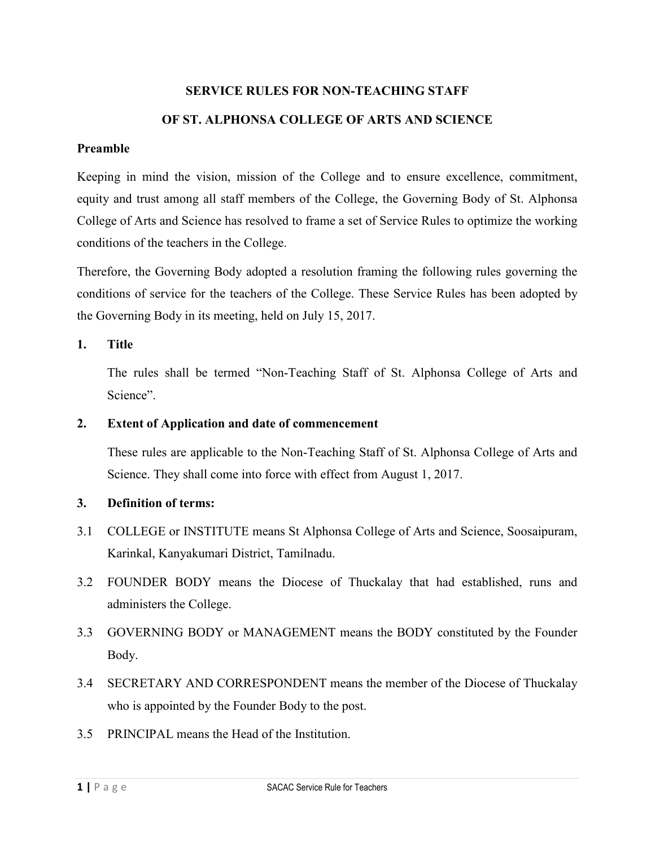# **SERVICE RULES FOR NON-TEACHING STAFF OF ST. ALPHONSA COLLEGE OF ARTS AND SCIENCE**

## **Preamble**

Keeping in mind the vision, mission of the College and to ensure excellence, commitment, equity and trust among all staff members of the College, the Governing Body of St. Alphonsa College of Arts and Science has resolved to frame a set of Service Rules to optimize the working conditions of the teachers in the College.

Therefore, the Governing Body adopted a resolution framing the following rules governing the conditions of service for the teachers of the College. These Service Rules has been adopted by the Governing Body in its meeting, held on July 15, 2017.

# **1. Title**

The rules shall be termed "Non-Teaching Staff of St. Alphonsa College of Arts and Science".

# **2. Extent of Application and date of commencement**

These rules are applicable to the Non-Teaching Staff of St. Alphonsa College of Arts and Science. They shall come into force with effect from August 1, 2017.

# **3. Definition of terms:**

- 3.1 COLLEGE or INSTITUTE means St Alphonsa College of Arts and Science, Soosaipuram, Karinkal, Kanyakumari District, Tamilnadu.
- 3.2 FOUNDER BODY means the Diocese of Thuckalay that had established, runs and administers the College.
- 3.3 GOVERNING BODY or MANAGEMENT means the BODY constituted by the Founder Body.
- 3.4 SECRETARY AND CORRESPONDENT means the member of the Diocese of Thuckalay who is appointed by the Founder Body to the post.
- 3.5 PRINCIPAL means the Head of the Institution.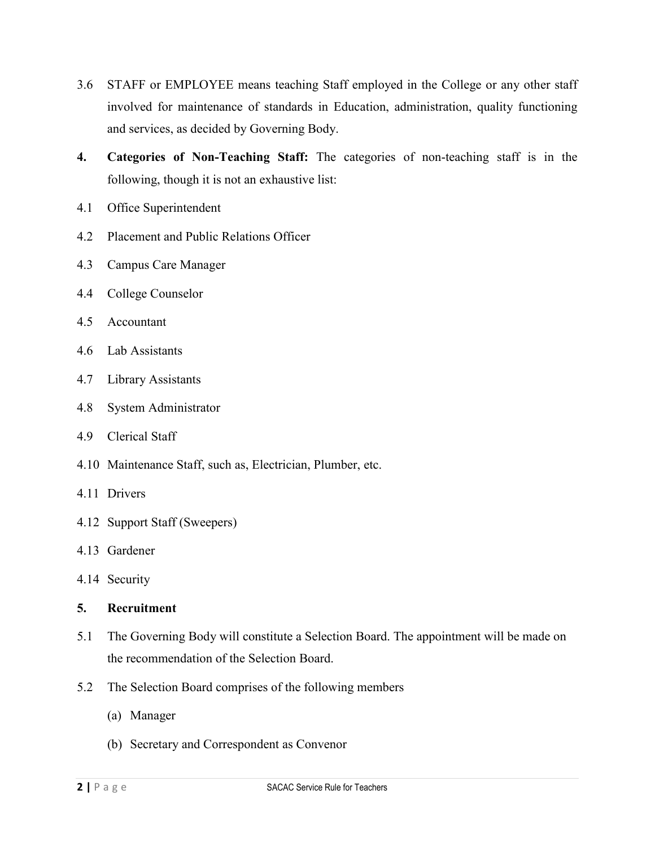- 3.6 STAFF or EMPLOYEE means teaching Staff employed in the College or any other staff involved for maintenance of standards in Education, administration, quality functioning and services, as decided by Governing Body.
- **4. Categories of Non-Teaching Staff:** The categories of non-teaching staff is in the following, though it is not an exhaustive list:
- 4.1 Office Superintendent
- 4.2 Placement and Public Relations Officer
- 4.3 Campus Care Manager
- 4.4 College Counselor
- 4.5 Accountant
- 4.6 Lab Assistants
- 4.7 Library Assistants
- 4.8 System Administrator
- 4.9 Clerical Staff
- 4.10 Maintenance Staff, such as, Electrician, Plumber, etc.
- 4.11 Drivers
- 4.12 Support Staff (Sweepers)
- 4.13 Gardener
- 4.14 Security
- **5. Recruitment**
- 5.1 The Governing Body will constitute a Selection Board. The appointment will be made on the recommendation of the Selection Board.
- 5.2 The Selection Board comprises of the following members
	- (a) Manager
	- (b) Secretary and Correspondent as Convenor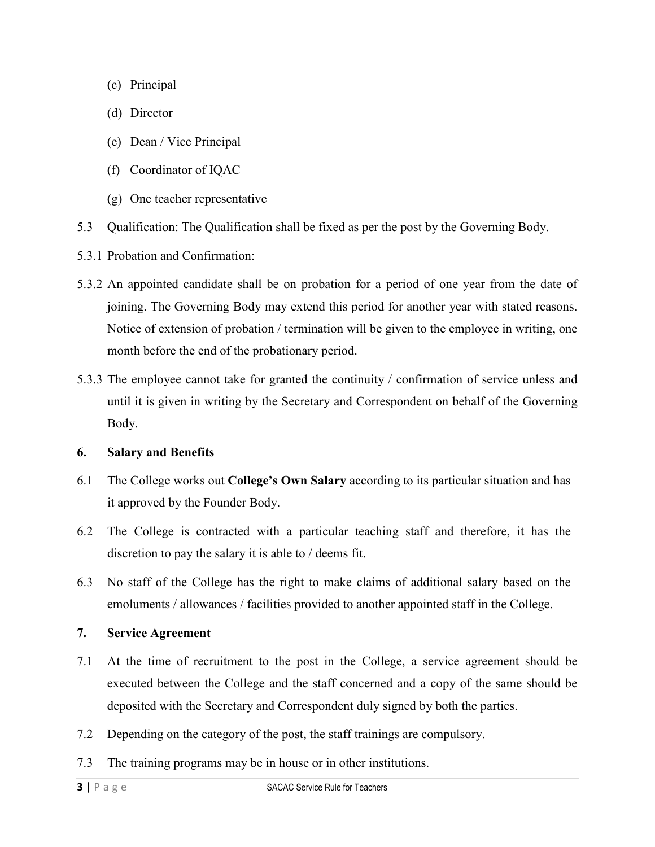- (c) Principal
- (d) Director
- (e) Dean / Vice Principal
- (f) Coordinator of IQAC
- (g) One teacher representative
- 5.3 Qualification: The Qualification shall be fixed as per the post by the Governing Body.
- 5.3.1 Probation and Confirmation:
- 5.3.2 An appointed candidate shall be on probation for a period of one year from the date of joining. The Governing Body may extend this period for another year with stated reasons. Notice of extension of probation / termination will be given to the employee in writing, one month before the end of the probationary period.
- 5.3.3 The employee cannot take for granted the continuity / confirmation of service unless and until it is given in writing by the Secretary and Correspondent on behalf of the Governing Body.

## **6. Salary and Benefits**

- 6.1 The College works out **College's Own Salary** according to its particular situation and has it approved by the Founder Body.
- 6.2 The College is contracted with a particular teaching staff and therefore, it has the discretion to pay the salary it is able to / deems fit.
- 6.3 No staff of the College has the right to make claims of additional salary based on the emoluments / allowances / facilities provided to another appointed staff in the College.

## **7. Service Agreement**

- 7.1 At the time of recruitment to the post in the College, a service agreement should be executed between the College and the staff concerned and a copy of the same should be deposited with the Secretary and Correspondent duly signed by both the parties.
- 7.2 Depending on the category of the post, the staff trainings are compulsory.
- 7.3 The training programs may be in house or in other institutions.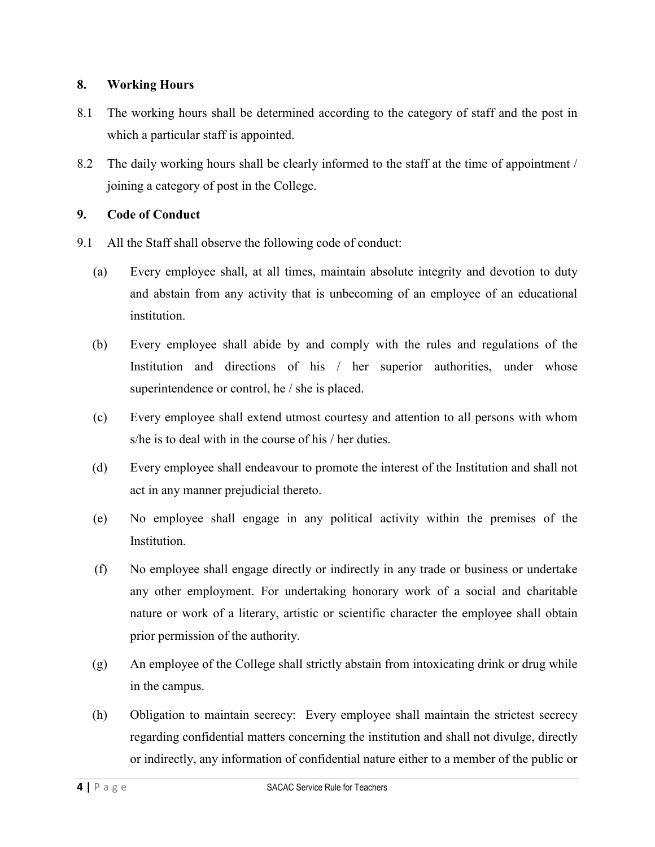# **8. Working Hours**

- 8.1 The working hours shall be determined according to the category of staff and the post in which a particular staff is appointed.
- 8.2 The daily working hours shall be clearly informed to the staff at the time of appointment / joining a category of post in the College.

# **9. Code of Conduct**

- 9.1 All the Staff shall observe the following code of conduct:
	- (a) Every employee shall, at all times, maintain absolute integrity and devotion to duty and abstain from any activity that is unbecoming of an employee of an educational institution.
	- (b) Every employee shall abide by and comply with the rules and regulations of the Institution and directions of his / her superior authorities, under whose superintendence or control, he / she is placed.
	- (c) Every employee shall extend utmost courtesy and attention to all persons with whom s/he is to deal with in the course of his / her duties.
	- (d) Every employee shall endeavour to promote the interest of the Institution and shall not act in any manner prejudicial thereto.
	- (e) No employee shall engage in any political activity within the premises of the Institution.
	- (f) No employee shall engage directly or indirectly in any trade or business or undertake any other employment. For undertaking honorary work of a social and charitable nature or work of a literary, artistic or scientific character the employee shall obtain prior permission of the authority.
	- (g) An employee of the College shall strictly abstain from intoxicating drink or drug while in the campus.
	- (h) Obligation to maintain secrecy: Every employee shall maintain the strictest secrecy regarding confidential matters concerning the institution and shall not divulge, directly or indirectly, any information of confidential nature either to a member of the public or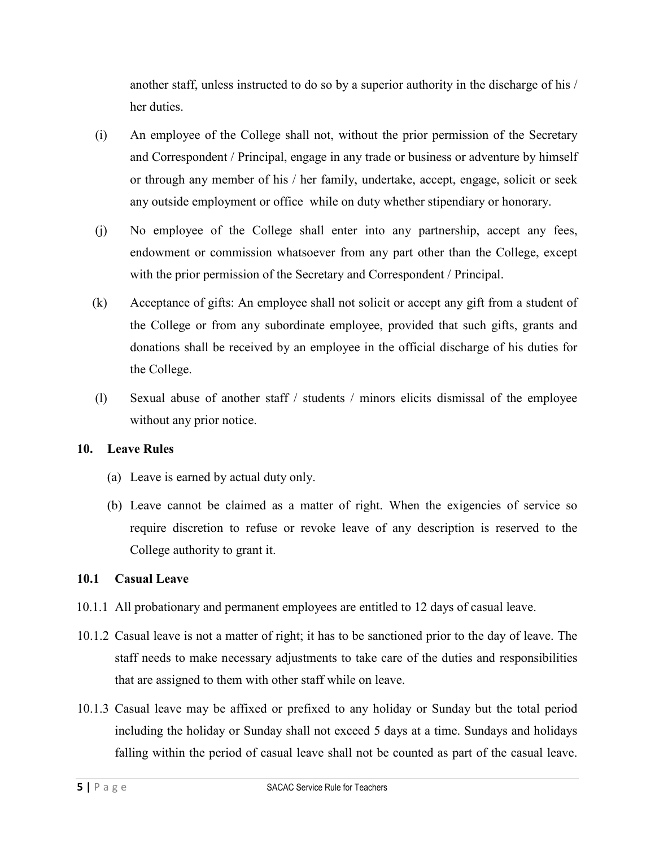another staff, unless instructed to do so by a superior authority in the discharge of his / her duties.

- (i) An employee of the College shall not, without the prior permission of the Secretary and Correspondent / Principal, engage in any trade or business or adventure by himself or through any member of his / her family, undertake, accept, engage, solicit or seek any outside employment or office while on duty whether stipendiary or honorary.
- (j) No employee of the College shall enter into any partnership, accept any fees, endowment or commission whatsoever from any part other than the College, except with the prior permission of the Secretary and Correspondent / Principal.
- (k) Acceptance of gifts: An employee shall not solicit or accept any gift from a student of the College or from any subordinate employee, provided that such gifts, grants and donations shall be received by an employee in the official discharge of his duties for the College.
- (l) Sexual abuse of another staff / students / minors elicits dismissal of the employee without any prior notice.

# **10. Leave Rules**

- (a) Leave is earned by actual duty only.
- (b) Leave cannot be claimed as a matter of right. When the exigencies of service so require discretion to refuse or revoke leave of any description is reserved to the College authority to grant it.

# **10.1 Casual Leave**

- 10.1.1 All probationary and permanent employees are entitled to 12 days of casual leave.
- 10.1.2 Casual leave is not a matter of right; it has to be sanctioned prior to the day of leave. The staff needs to make necessary adjustments to take care of the duties and responsibilities that are assigned to them with other staff while on leave.
- 10.1.3 Casual leave may be affixed or prefixed to any holiday or Sunday but the total period including the holiday or Sunday shall not exceed 5 days at a time. Sundays and holidays falling within the period of casual leave shall not be counted as part of the casual leave.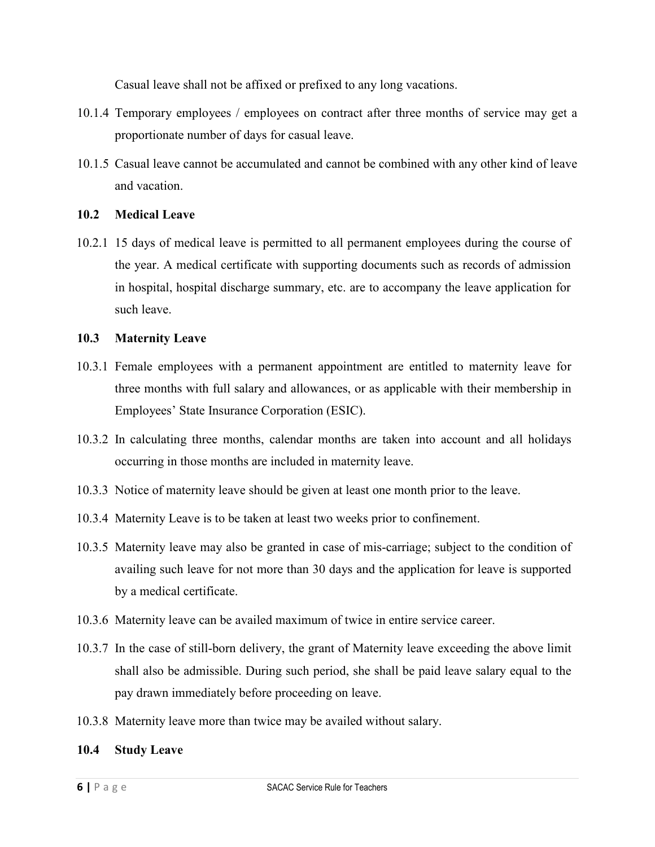Casual leave shall not be affixed or prefixed to any long vacations.

- 10.1.4 Temporary employees / employees on contract after three months of service may get a proportionate number of days for casual leave.
- 10.1.5 Casual leave cannot be accumulated and cannot be combined with any other kind of leave and vacation.

## **10.2 Medical Leave**

10.2.1 15 days of medical leave is permitted to all permanent employees during the course of the year. A medical certificate with supporting documents such as records of admission in hospital, hospital discharge summary, etc. are to accompany the leave application for such leave.

#### **10.3 Maternity Leave**

- 10.3.1 Female employees with a permanent appointment are entitled to maternity leave for three months with full salary and allowances, or as applicable with their membership in Employees' State Insurance Corporation (ESIC).
- 10.3.2 In calculating three months, calendar months are taken into account and all holidays occurring in those months are included in maternity leave.
- 10.3.3 Notice of maternity leave should be given at least one month prior to the leave.
- 10.3.4 Maternity Leave is to be taken at least two weeks prior to confinement.
- 10.3.5 Maternity leave may also be granted in case of mis-carriage; subject to the condition of availing such leave for not more than 30 days and the application for leave is supported by a medical certificate.
- 10.3.6 Maternity leave can be availed maximum of twice in entire service career.
- 10.3.7 In the case of still-born delivery, the grant of Maternity leave exceeding the above limit shall also be admissible. During such period, she shall be paid leave salary equal to the pay drawn immediately before proceeding on leave.
- 10.3.8 Maternity leave more than twice may be availed without salary.

## **10.4 Study Leave**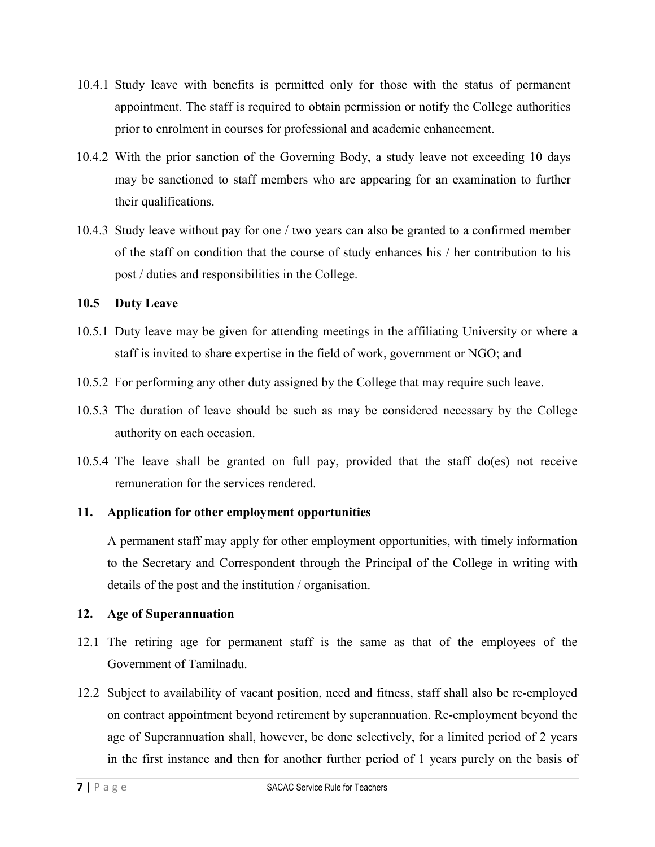- 10.4.1 Study leave with benefits is permitted only for those with the status of permanent appointment. The staff is required to obtain permission or notify the College authorities prior to enrolment in courses for professional and academic enhancement.
- 10.4.2 With the prior sanction of the Governing Body, a study leave not exceeding 10 days may be sanctioned to staff members who are appearing for an examination to further their qualifications.
- 10.4.3 Study leave without pay for one / two years can also be granted to a confirmed member of the staff on condition that the course of study enhances his / her contribution to his post / duties and responsibilities in the College.

## **10.5 Duty Leave**

- 10.5.1 Duty leave may be given for attending meetings in the affiliating University or where a staff is invited to share expertise in the field of work, government or NGO; and
- 10.5.2 For performing any other duty assigned by the College that may require such leave.
- 10.5.3 The duration of leave should be such as may be considered necessary by the College authority on each occasion.
- 10.5.4 The leave shall be granted on full pay, provided that the staff do(es) not receive remuneration for the services rendered.

## **11. Application for other employment opportunities**

A permanent staff may apply for other employment opportunities, with timely information to the Secretary and Correspondent through the Principal of the College in writing with details of the post and the institution / organisation.

## **12. Age of Superannuation**

- 12.1 The retiring age for permanent staff is the same as that of the employees of the Government of Tamilnadu.
- 12.2 Subject to availability of vacant position, need and fitness, staff shall also be re-employed on contract appointment beyond retirement by superannuation. Re-employment beyond the age of Superannuation shall, however, be done selectively, for a limited period of 2 years in the first instance and then for another further period of 1 years purely on the basis of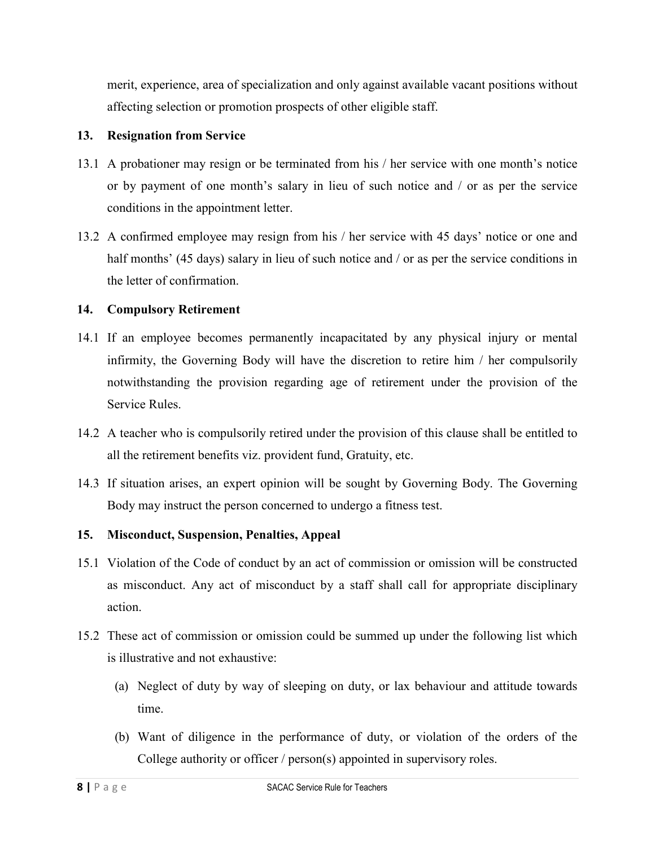merit, experience, area of specialization and only against available vacant positions without affecting selection or promotion prospects of other eligible staff.

# **13. Resignation from Service**

- 13.1 A probationer may resign or be terminated from his / her service with one month's notice or by payment of one month's salary in lieu of such notice and / or as per the service conditions in the appointment letter.
- 13.2 A confirmed employee may resign from his / her service with 45 days' notice or one and half months' (45 days) salary in lieu of such notice and / or as per the service conditions in the letter of confirmation.

# **14. Compulsory Retirement**

- 14.1 If an employee becomes permanently incapacitated by any physical injury or mental infirmity, the Governing Body will have the discretion to retire him / her compulsorily notwithstanding the provision regarding age of retirement under the provision of the Service Rules.
- 14.2 A teacher who is compulsorily retired under the provision of this clause shall be entitled to all the retirement benefits viz. provident fund, Gratuity, etc.
- 14.3 If situation arises, an expert opinion will be sought by Governing Body. The Governing Body may instruct the person concerned to undergo a fitness test.

## **15. Misconduct, Suspension, Penalties, Appeal**

- 15.1 Violation of the Code of conduct by an act of commission or omission will be constructed as misconduct. Any act of misconduct by a staff shall call for appropriate disciplinary action.
- 15.2 These act of commission or omission could be summed up under the following list which is illustrative and not exhaustive:
	- (a) Neglect of duty by way of sleeping on duty, or lax behaviour and attitude towards time.
	- (b) Want of diligence in the performance of duty, or violation of the orders of the College authority or officer / person(s) appointed in supervisory roles.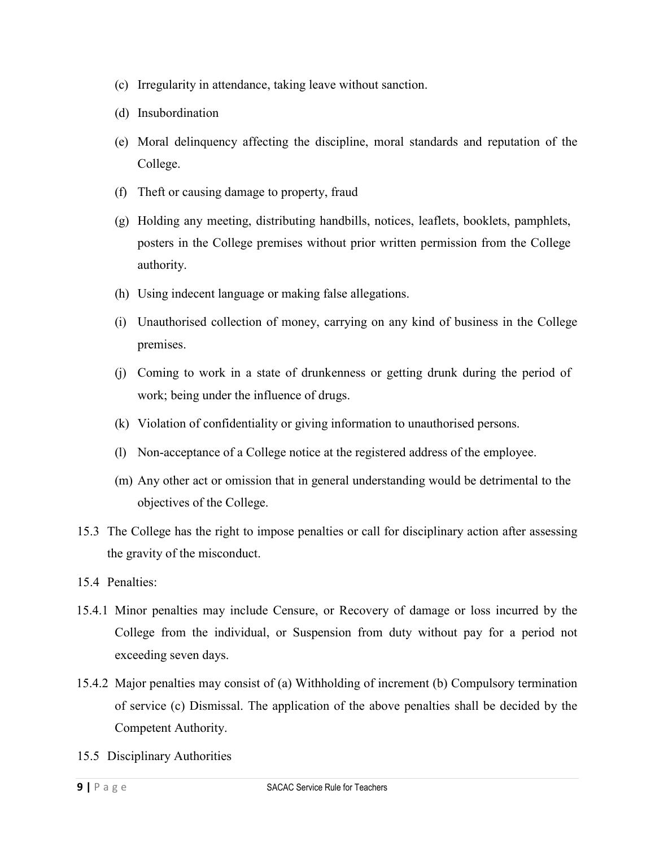- (c) Irregularity in attendance, taking leave without sanction.
- (d) Insubordination
- (e) Moral delinquency affecting the discipline, moral standards and reputation of the College.
- (f) Theft or causing damage to property, fraud
- (g) Holding any meeting, distributing handbills, notices, leaflets, booklets, pamphlets, posters in the College premises without prior written permission from the College authority.
- (h) Using indecent language or making false allegations.
- (i) Unauthorised collection of money, carrying on any kind of business in the College premises.
- (j) Coming to work in a state of drunkenness or getting drunk during the period of work; being under the influence of drugs.
- (k) Violation of confidentiality or giving information to unauthorised persons.
- (l) Non-acceptance of a College notice at the registered address of the employee.
- (m) Any other act or omission that in general understanding would be detrimental to the objectives of the College.
- 15.3 The College has the right to impose penalties or call for disciplinary action after assessing the gravity of the misconduct.
- 15.4 Penalties:
- 15.4.1 Minor penalties may include Censure, or Recovery of damage or loss incurred by the College from the individual, or Suspension from duty without pay for a period not exceeding seven days.
- 15.4.2 Major penalties may consist of (a) Withholding of increment (b) Compulsory termination of service (c) Dismissal. The application of the above penalties shall be decided by the Competent Authority.
- 15.5 Disciplinary Authorities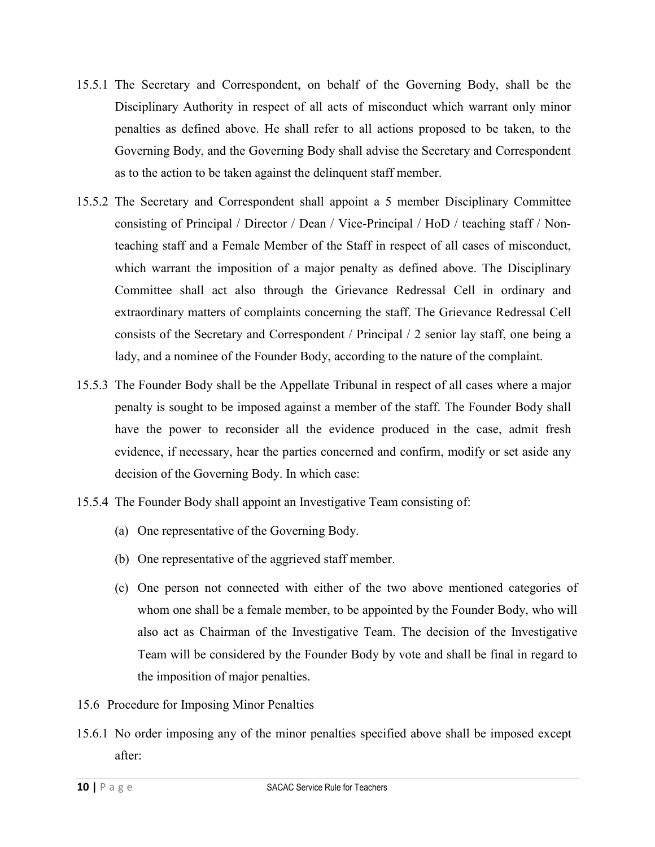- 15.5.1 The Secretary and Correspondent, on behalf of the Governing Body, shall be the Disciplinary Authority in respect of all acts of misconduct which warrant only minor penalties as defined above. He shall refer to all actions proposed to be taken, to the Governing Body, and the Governing Body shall advise the Secretary and Correspondent as to the action to be taken against the delinquent staff member.
- 15.5.2 The Secretary and Correspondent shall appoint a 5 member Disciplinary Committee consisting of Principal / Director / Dean / Vice-Principal / HoD / teaching staff / Nonteaching staff and a Female Member of the Staff in respect of all cases of misconduct, which warrant the imposition of a major penalty as defined above. The Disciplinary Committee shall act also through the Grievance Redressal Cell in ordinary and extraordinary matters of complaints concerning the staff. The Grievance Redressal Cell consists of the Secretary and Correspondent / Principal / 2 senior lay staff, one being a lady, and a nominee of the Founder Body, according to the nature of the complaint.
- 15.5.3 The Founder Body shall be the Appellate Tribunal in respect of all cases where a major penalty is sought to be imposed against a member of the staff. The Founder Body shall have the power to reconsider all the evidence produced in the case, admit fresh evidence, if necessary, hear the parties concerned and confirm, modify or set aside any decision of the Governing Body. In which case:
- 15.5.4 The Founder Body shall appoint an Investigative Team consisting of:
	- (a) One representative of the Governing Body.
	- (b) One representative of the aggrieved staff member.
	- (c) One person not connected with either of the two above mentioned categories of whom one shall be a female member, to be appointed by the Founder Body, who will also act as Chairman of the Investigative Team. The decision of the Investigative Team will be considered by the Founder Body by vote and shall be final in regard to the imposition of major penalties.
- 15.6 Procedure for Imposing Minor Penalties
- 15.6.1 No order imposing any of the minor penalties specified above shall be imposed except after: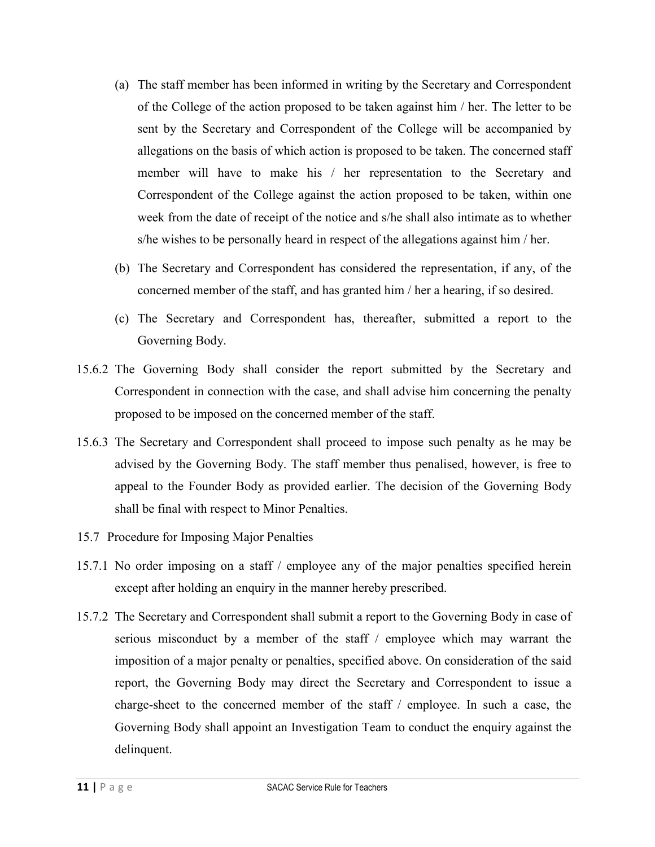- (a) The staff member has been informed in writing by the Secretary and Correspondent of the College of the action proposed to be taken against him / her. The letter to be sent by the Secretary and Correspondent of the College will be accompanied by allegations on the basis of which action is proposed to be taken. The concerned staff member will have to make his / her representation to the Secretary and Correspondent of the College against the action proposed to be taken, within one week from the date of receipt of the notice and s/he shall also intimate as to whether s/he wishes to be personally heard in respect of the allegations against him / her.
- (b) The Secretary and Correspondent has considered the representation, if any, of the concerned member of the staff, and has granted him / her a hearing, if so desired.
- (c) The Secretary and Correspondent has, thereafter, submitted a report to the Governing Body.
- 15.6.2 The Governing Body shall consider the report submitted by the Secretary and Correspondent in connection with the case, and shall advise him concerning the penalty proposed to be imposed on the concerned member of the staff.
- 15.6.3 The Secretary and Correspondent shall proceed to impose such penalty as he may be advised by the Governing Body. The staff member thus penalised, however, is free to appeal to the Founder Body as provided earlier. The decision of the Governing Body shall be final with respect to Minor Penalties.
- 15.7 Procedure for Imposing Major Penalties
- 15.7.1 No order imposing on a staff / employee any of the major penalties specified herein except after holding an enquiry in the manner hereby prescribed.
- 15.7.2 The Secretary and Correspondent shall submit a report to the Governing Body in case of serious misconduct by a member of the staff / employee which may warrant the imposition of a major penalty or penalties, specified above. On consideration of the said report, the Governing Body may direct the Secretary and Correspondent to issue a charge-sheet to the concerned member of the staff / employee. In such a case, the Governing Body shall appoint an Investigation Team to conduct the enquiry against the delinquent.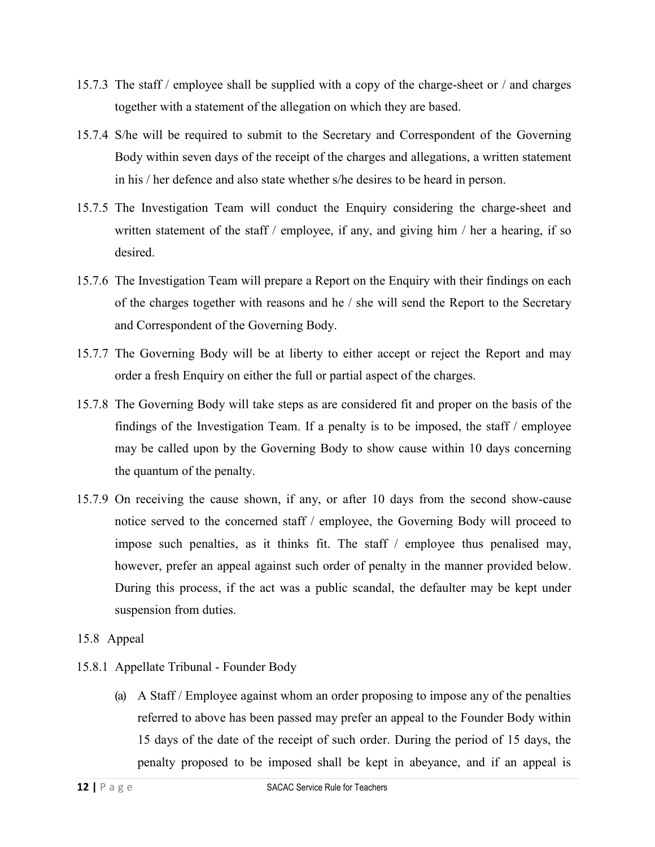- 15.7.3 The staff / employee shall be supplied with a copy of the charge-sheet or / and charges together with a statement of the allegation on which they are based.
- 15.7.4 S/he will be required to submit to the Secretary and Correspondent of the Governing Body within seven days of the receipt of the charges and allegations, a written statement in his / her defence and also state whether s/he desires to be heard in person.
- 15.7.5 The Investigation Team will conduct the Enquiry considering the charge-sheet and written statement of the staff / employee, if any, and giving him / her a hearing, if so desired.
- 15.7.6 The Investigation Team will prepare a Report on the Enquiry with their findings on each of the charges together with reasons and he / she will send the Report to the Secretary and Correspondent of the Governing Body.
- 15.7.7 The Governing Body will be at liberty to either accept or reject the Report and may order a fresh Enquiry on either the full or partial aspect of the charges.
- 15.7.8 The Governing Body will take steps as are considered fit and proper on the basis of the findings of the Investigation Team. If a penalty is to be imposed, the staff / employee may be called upon by the Governing Body to show cause within 10 days concerning the quantum of the penalty.
- 15.7.9 On receiving the cause shown, if any, or after 10 days from the second show-cause notice served to the concerned staff / employee, the Governing Body will proceed to impose such penalties, as it thinks fit. The staff / employee thus penalised may, however, prefer an appeal against such order of penalty in the manner provided below. During this process, if the act was a public scandal, the defaulter may be kept under suspension from duties.
- 15.8 Appeal
- 15.8.1 Appellate Tribunal Founder Body
	- (a) A Staff / Employee against whom an order proposing to impose any of the penalties referred to above has been passed may prefer an appeal to the Founder Body within 15 days of the date of the receipt of such order. During the period of 15 days, the penalty proposed to be imposed shall be kept in abeyance, and if an appeal is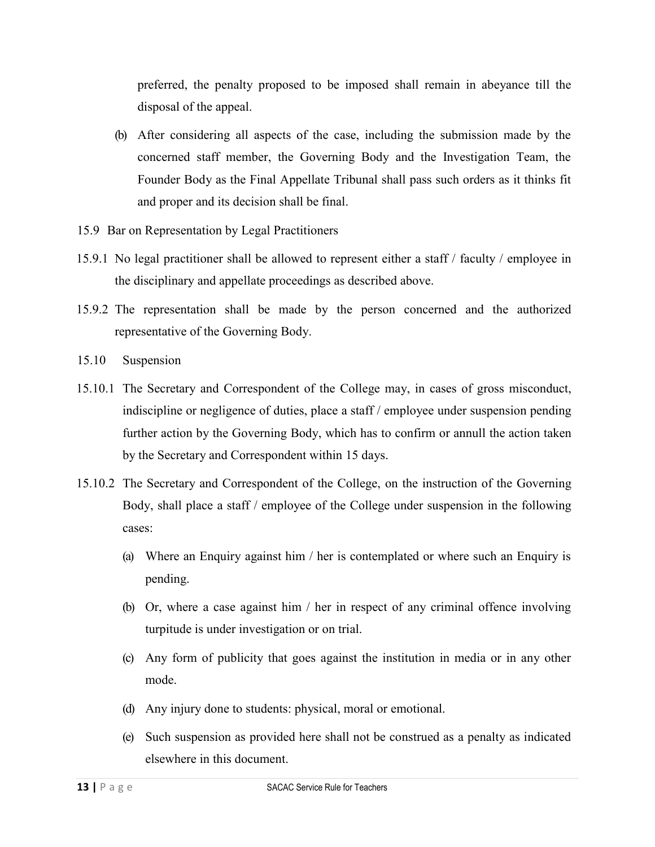preferred, the penalty proposed to be imposed shall remain in abeyance till the disposal of the appeal.

- (b) After considering all aspects of the case, including the submission made by the concerned staff member, the Governing Body and the Investigation Team, the Founder Body as the Final Appellate Tribunal shall pass such orders as it thinks fit and proper and its decision shall be final.
- 15.9 Bar on Representation by Legal Practitioners
- 15.9.1 No legal practitioner shall be allowed to represent either a staff / faculty / employee in the disciplinary and appellate proceedings as described above.
- 15.9.2 The representation shall be made by the person concerned and the authorized representative of the Governing Body.
- 15.10 Suspension
- 15.10.1 The Secretary and Correspondent of the College may, in cases of gross misconduct, indiscipline or negligence of duties, place a staff / employee under suspension pending further action by the Governing Body, which has to confirm or annull the action taken by the Secretary and Correspondent within 15 days.
- 15.10.2 The Secretary and Correspondent of the College, on the instruction of the Governing Body, shall place a staff / employee of the College under suspension in the following cases:
	- (a) Where an Enquiry against him / her is contemplated or where such an Enquiry is pending.
	- (b) Or, where a case against him / her in respect of any criminal offence involving turpitude is under investigation or on trial.
	- (c) Any form of publicity that goes against the institution in media or in any other mode.
	- (d) Any injury done to students: physical, moral or emotional.
	- (e) Such suspension as provided here shall not be construed as a penalty as indicated elsewhere in this document.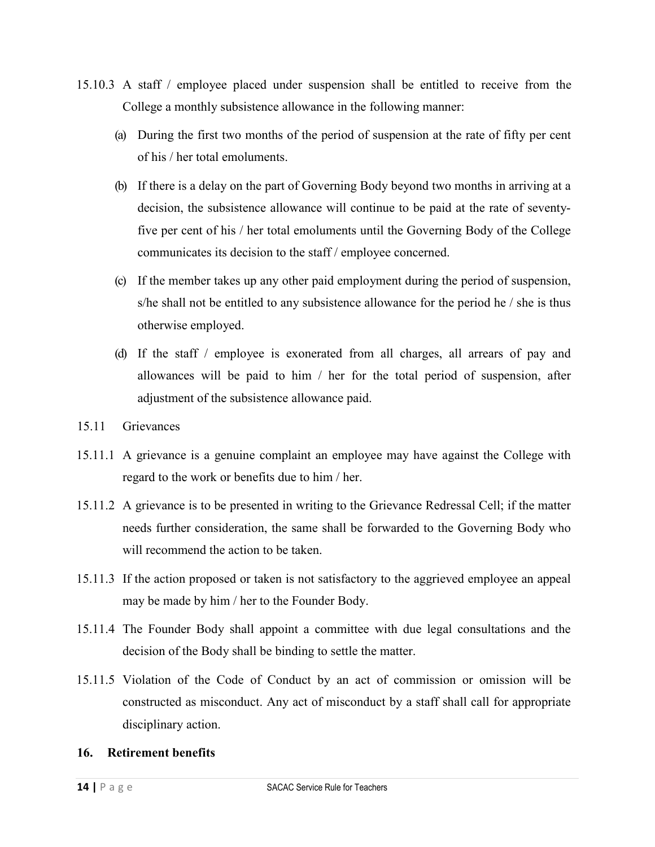- 15.10.3 A staff / employee placed under suspension shall be entitled to receive from the College a monthly subsistence allowance in the following manner:
	- (a) During the first two months of the period of suspension at the rate of fifty per cent of his / her total emoluments.
	- (b) If there is a delay on the part of Governing Body beyond two months in arriving at a decision, the subsistence allowance will continue to be paid at the rate of seventyfive per cent of his / her total emoluments until the Governing Body of the College communicates its decision to the staff / employee concerned.
	- (c) If the member takes up any other paid employment during the period of suspension, s/he shall not be entitled to any subsistence allowance for the period he / she is thus otherwise employed.
	- (d) If the staff / employee is exonerated from all charges, all arrears of pay and allowances will be paid to him / her for the total period of suspension, after adjustment of the subsistence allowance paid.
- 15.11 Grievances
- 15.11.1 A grievance is a genuine complaint an employee may have against the College with regard to the work or benefits due to him / her.
- 15.11.2 A grievance is to be presented in writing to the Grievance Redressal Cell; if the matter needs further consideration, the same shall be forwarded to the Governing Body who will recommend the action to be taken.
- 15.11.3 If the action proposed or taken is not satisfactory to the aggrieved employee an appeal may be made by him / her to the Founder Body.
- 15.11.4 The Founder Body shall appoint a committee with due legal consultations and the decision of the Body shall be binding to settle the matter.
- 15.11.5 Violation of the Code of Conduct by an act of commission or omission will be constructed as misconduct. Any act of misconduct by a staff shall call for appropriate disciplinary action.

## **16. Retirement benefits**